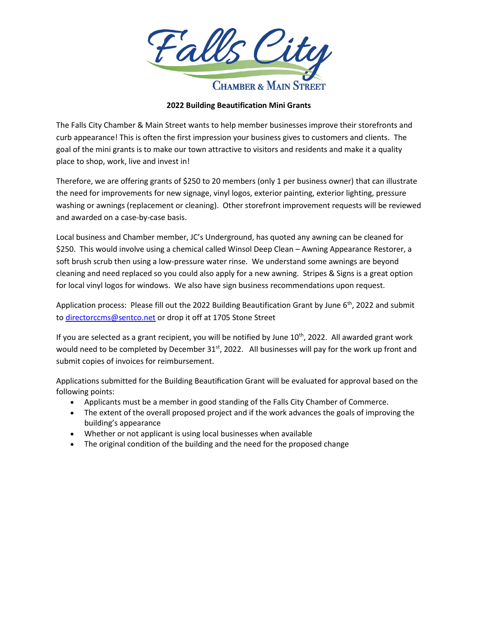

## **2022 Building Beautification Mini Grants**

The Falls City Chamber & Main Street wants to help member businesses improve their storefronts and curb appearance! This is often the first impression your business gives to customers and clients. The goal of the mini grants is to make our town attractive to visitors and residents and make it a quality place to shop, work, live and invest in!

Therefore, we are offering grants of \$250 to 20 members (only 1 per business owner) that can illustrate the need for improvements for new signage, vinyl logos, exterior painting, exterior lighting, pressure washing or awnings (replacement or cleaning). Other storefront improvement requests will be reviewed and awarded on a case-by-case basis.

Local business and Chamber member, JC's Underground, has quoted any awning can be cleaned for \$250. This would involve using a chemical called Winsol Deep Clean – Awning Appearance Restorer, a soft brush scrub then using a low-pressure water rinse. We understand some awnings are beyond cleaning and need replaced so you could also apply for a new awning. Stripes & Signs is a great option for local vinyl logos for windows. We also have sign business recommendations upon request.

Application process: Please fill out the 2022 Building Beautification Grant by June 6<sup>th</sup>, 2022 and submit to [directorccms@sentco.net](mailto:directorccms@sentco.net) or drop it off at 1705 Stone Street

If you are selected as a grant recipient, you will be notified by June  $10^{th}$ , 2022. All awarded grant work would need to be completed by December 31<sup>st</sup>, 2022. All businesses will pay for the work up front and submit copies of invoices for reimbursement.

Applications submitted for the Building Beautification Grant will be evaluated for approval based on the following points:

- Applicants must be a member in good standing of the Falls City Chamber of Commerce.
- The extent of the overall proposed project and if the work advances the goals of improving the building's appearance
- Whether or not applicant is using local businesses when available
- The original condition of the building and the need for the proposed change